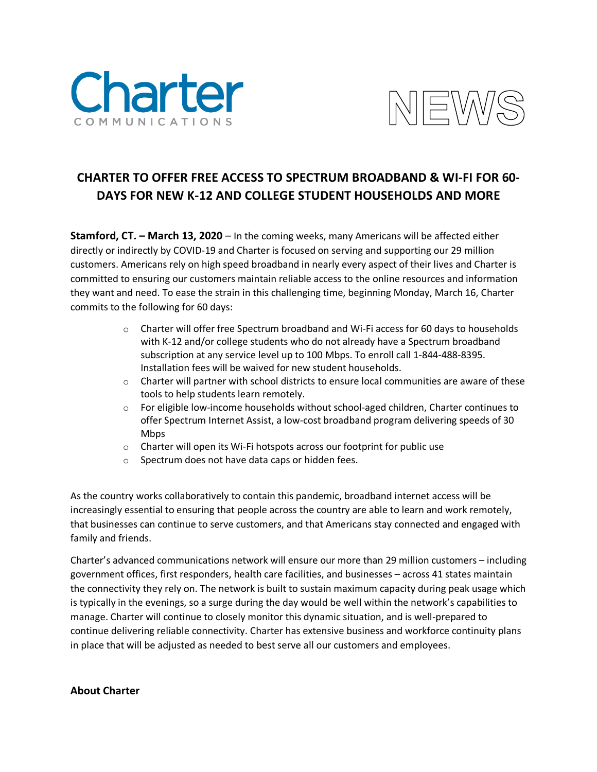



## **CHARTER TO OFFER FREE ACCESS TO SPECTRUM BROADBAND & WI-FI FOR 60- DAYS FOR NEW K-12 AND COLLEGE STUDENT HOUSEHOLDS AND MORE**

**Stamford, CT. – March 13, 2020** – In the coming weeks, many Americans will be affected either directly or indirectly by COVID-19 and Charter is focused on serving and supporting our 29 million customers. Americans rely on high speed broadband in nearly every aspect of their lives and Charter is committed to ensuring our customers maintain reliable access to the online resources and information they want and need. To ease the strain in this challenging time, beginning Monday, March 16, Charter commits to the following for 60 days:

- $\circ$  Charter will offer free Spectrum broadband and Wi-Fi access for 60 days to households with K-12 and/or college students who do not already have a Spectrum broadband subscription at any service level up to 100 Mbps. To enroll call 1-844-488-8395. Installation fees will be waived for new student households.
- $\circ$  Charter will partner with school districts to ensure local communities are aware of these tools to help students learn remotely.
- o For eligible low-income households without school-aged children, Charter continues to offer Spectrum Internet Assist, a low-cost broadband program delivering speeds of 30 Mbps
- o Charter will open its Wi-Fi hotspots across our footprint for public use
- o Spectrum does not have data caps or hidden fees.

As the country works collaboratively to contain this pandemic, broadband internet access will be increasingly essential to ensuring that people across the country are able to learn and work remotely, that businesses can continue to serve customers, and that Americans stay connected and engaged with family and friends.

Charter's advanced communications network will ensure our more than 29 million customers – including government offices, first responders, health care facilities, and businesses – across 41 states maintain the connectivity they rely on. The network is built to sustain maximum capacity during peak usage which is typically in the evenings, so a surge during the day would be well within the network's capabilities to manage. Charter will continue to closely monitor this dynamic situation, and is well-prepared to continue delivering reliable connectivity. Charter has extensive business and workforce continuity plans in place that will be adjusted as needed to best serve all our customers and employees.

## **About Charter**